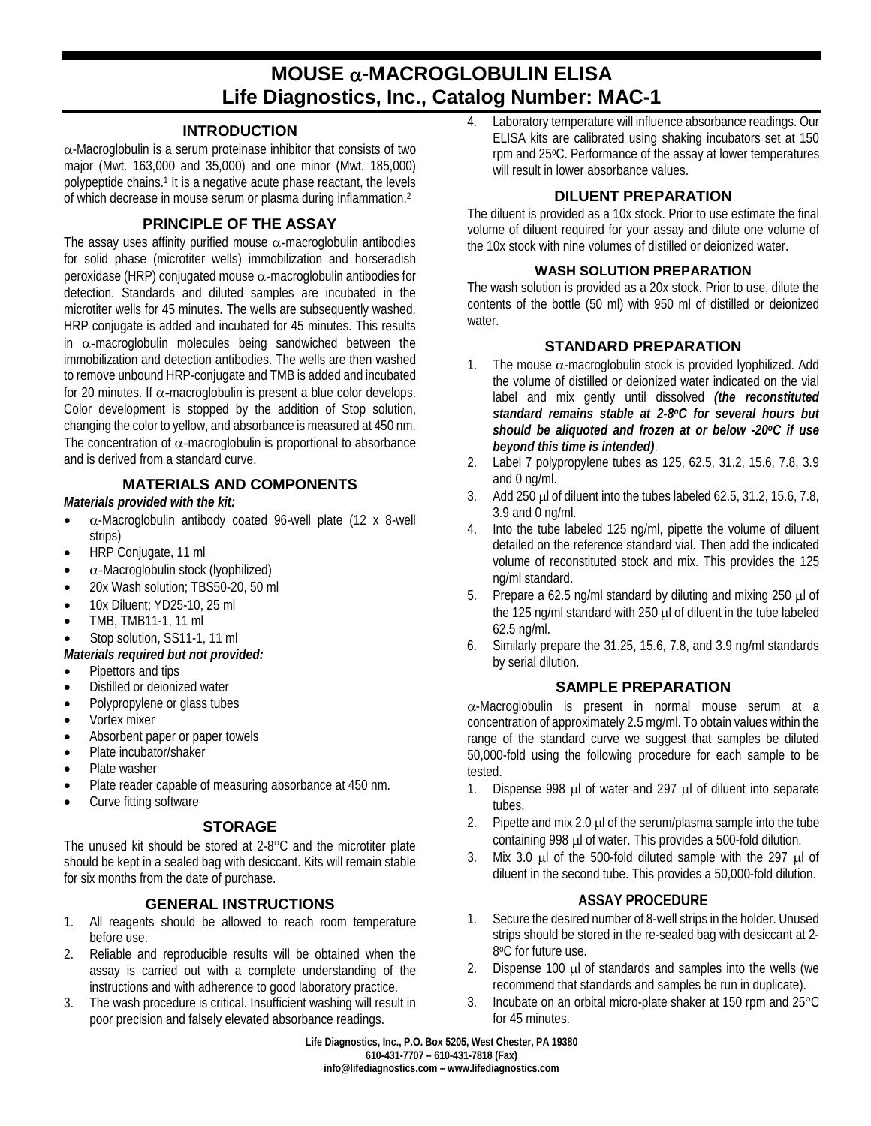# **MOUSE** α-**MACROGLOBULIN ELISA Life Diagnostics, Inc., Catalog Number: MAC-1**

#### **INTRODUCTION**

 $\alpha$ -Macroglobulin is a serum proteinase inhibitor that consists of two major (Mwt. 163,000 and 35,000) and one minor (Mwt. 185,000) polypeptide chains.1 It is a negative acute phase reactant, the levels of which decrease in mouse serum or plasma during inflammation.2

## **PRINCIPLE OF THE ASSAY**

The assay uses affinity purified mouse  $\alpha$ -macroglobulin antibodies for solid phase (microtiter wells) immobilization and horseradish peroxidase (HRP) conjugated mouse α-macroglobulin antibodies for detection. Standards and diluted samples are incubated in the microtiter wells for 45 minutes. The wells are subsequently washed. HRP conjugate is added and incubated for 45 minutes. This results in  $\alpha$ -macroglobulin molecules being sandwiched between the immobilization and detection antibodies. The wells are then washed to remove unbound HRP-conjugate and TMB is added and incubated for 20 minutes. If  $\alpha$ -macroglobulin is present a blue color develops. Color development is stopped by the addition of Stop solution, changing the color to yellow, and absorbance is measured at 450 nm. The concentration of  $\alpha$ -macroglobulin is proportional to absorbance and is derived from a standard curve.

# **MATERIALS AND COMPONENTS**

#### *Materials provided with the kit:*

- $\bullet$   $\alpha$ -Macroglobulin antibody coated 96-well plate (12 x 8-well strips)
- HRP Conjugate, 11 ml
- $\alpha$ -Macroglobulin stock (lyophilized)
- 20x Wash solution; TBS50-20, 50 ml
- 10x Diluent; YD25-10, 25 ml
- TMB, TMB11-1, 11 ml
- Stop solution, SS11-1, 11 ml
- *Materials required but not provided:*
- Pipettors and tips
- Distilled or deionized water
- Polypropylene or glass tubes
- Vortex mixer
- Absorbent paper or paper towels
- Plate incubator/shaker
- Plate washer
- Plate reader capable of measuring absorbance at 450 nm.
- Curve fitting software

# **STORAGE**

The unused kit should be stored at 2-8°C and the microtiter plate should be kept in a sealed bag with desiccant. Kits will remain stable for six months from the date of purchase.

## **GENERAL INSTRUCTIONS**

- 1. All reagents should be allowed to reach room temperature before use.
- 2. Reliable and reproducible results will be obtained when the assay is carried out with a complete understanding of the instructions and with adherence to good laboratory practice.
- 3. The wash procedure is critical. Insufficient washing will result in poor precision and falsely elevated absorbance readings.

4. Laboratory temperature will influence absorbance readings. Our ELISA kits are calibrated using shaking incubators set at 150 rpm and 25°C. Performance of the assay at lower temperatures will result in lower absorbance values.

## **DILUENT PREPARATION**

The diluent is provided as a 10x stock. Prior to use estimate the final volume of diluent required for your assay and dilute one volume of the 10x stock with nine volumes of distilled or deionized water.

#### **WASH SOLUTION PREPARATION**

The wash solution is provided as a 20x stock. Prior to use, dilute the contents of the bottle (50 ml) with 950 ml of distilled or deionized water.

# **STANDARD PREPARATION**

- 1. The mouse  $\alpha$ -macroglobulin stock is provided lyophilized. Add the volume of distilled or deionized water indicated on the vial label and mix gently until dissolved *(the reconstituted standard remains stable at 2-8oC for several hours but should be aliquoted and frozen at or below -20oC if use beyond this time is intended)*.
- 2. Label 7 polypropylene tubes as 125, 62.5, 31.2, 15.6, 7.8, 3.9 and 0 ng/ml.
- 3. Add 250 µl of diluent into the tubes labeled 62.5, 31.2, 15.6, 7.8, 3.9 and 0 ng/ml.
- Into the tube labeled 125 ng/ml, pipette the volume of diluent detailed on the reference standard vial. Then add the indicated volume of reconstituted stock and mix. This provides the 125 ng/ml standard.
- 5. Prepare a 62.5 ng/ml standard by diluting and mixing 250  $\mu$ l of the 125 ng/ml standard with 250 µl of diluent in the tube labeled 62.5 ng/ml.
- 6. Similarly prepare the 31.25, 15.6, 7.8, and 3.9 ng/ml standards by serial dilution.

# **SAMPLE PREPARATION**

α-Macroglobulin is present in normal mouse serum at a concentration of approximately 2.5 mg/ml. To obtain values within the range of the standard curve we suggest that samples be diluted 50,000-fold using the following procedure for each sample to be tested.

- 1. Dispense 998 µl of water and 297 µl of diluent into separate tubes.
- 2. Pipette and mix 2.0  $\mu$  of the serum/plasma sample into the tube containing 998 µl of water. This provides a 500-fold dilution.
- 3. Mix 3.0  $\mu$ l of the 500-fold diluted sample with the 297  $\mu$ l of diluent in the second tube. This provides a 50,000-fold dilution.

## **ASSAY PROCEDURE**

- 1. Secure the desired number of 8-well strips in the holder. Unused strips should be stored in the re-sealed bag with desiccant at 2- 8oC for future use.
- 2. Dispense 100 µl of standards and samples into the wells (we recommend that standards and samples be run in duplicate).
- 3. Incubate on an orbital micro-plate shaker at 150 rpm and 25°C for 45 minutes.

**Life Diagnostics, Inc., P.O. Box 5205, West Chester, PA 19380 610-431-7707 – 610-431-7818 (Fax) info@lifediagnostics.com – www.lifediagnostics.com**